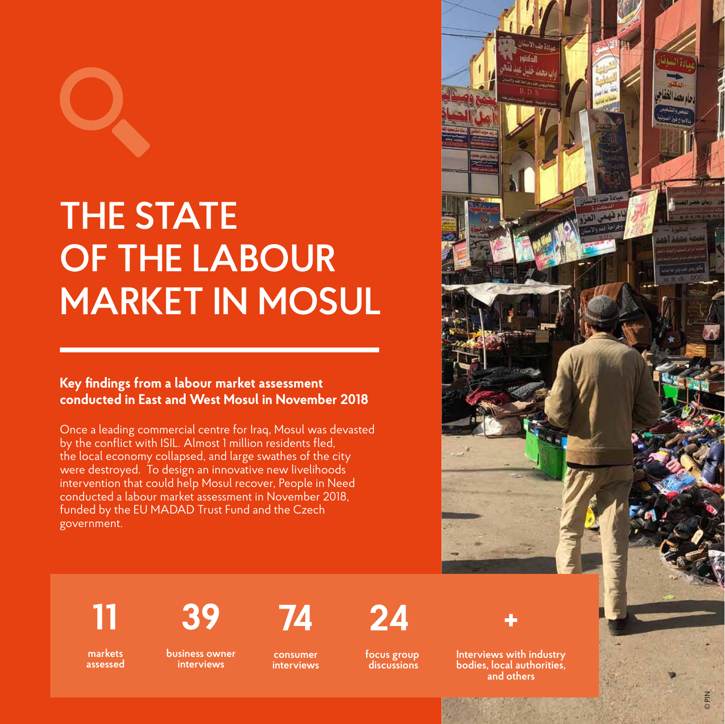

# **THE STATE OF THE LABOUR MARKET IN MOSUL**

#### **Key findings from a labour market assessment conducted in East and West Mosul in November 2018**

Once a leading commercial centre for Iraq, Mosul was devasted by the conflict with ISIL. Almost 1 million residents fled, the local economy collapsed, and large swathes of the city were destroyed. To design an innovative new livelihoods intervention that could help Mosul recover, People in Need conducted a labour market assessment in November 2018, funded by the EU MADAD Trust Fund and the Czech government.



## **11**

**markets assessed**  **39**

**business owner interviews** 

**consumer interviews** 

**74**

**24**

**focus group discussions** 



**Interviews with industry bodies, local authorities, and others**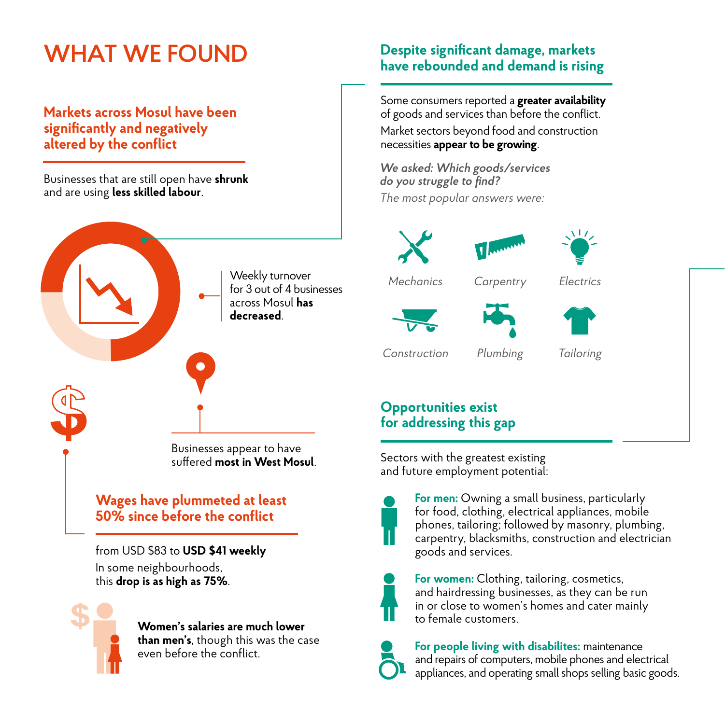## **WHAT WE FOUND**

#### **Markets across Mosul have been significantly and negatively altered by the conflict**

Businesses that are still open have **shrunk** and are using **less skilled labour**.



from USD \$83 to **USD \$41 weekly** In some neighbourhoods, this **drop is as high as 75%**.



**Women's salaries are much lower than men's**, though this was the case even before the conflict.

#### **Despite significant damage, markets have rebounded and demand is rising**

Some consumers reported a **greater availability**  of goods and services than before the conflict. Market sectors beyond food and construction necessities **appear to be growing**.

*We asked: Which goods/services do you struggle to find? The most popular answers were:* 







*Mechanics* 

*Carpentry Electrics*





*Construction Plumbing* 

*Tailoring*

#### **Opportunities exist for addressing this gap**

Sectors with the greatest existing and future employment potential:



**For men:** Owning a small business, particularly for food, clothing, electrical appliances, mobile phones, tailoring; followed by masonry, plumbing, carpentry, blacksmiths, construction and electrician goods and services.



**For women:** Clothing, tailoring, cosmetics, and hairdressing businesses, as they can be run in or close to women's homes and cater mainly to female customers.



**For people living with disabilites:** maintenance and repairs of computers, mobile phones and electrical appliances, and operating small shops selling basic goods.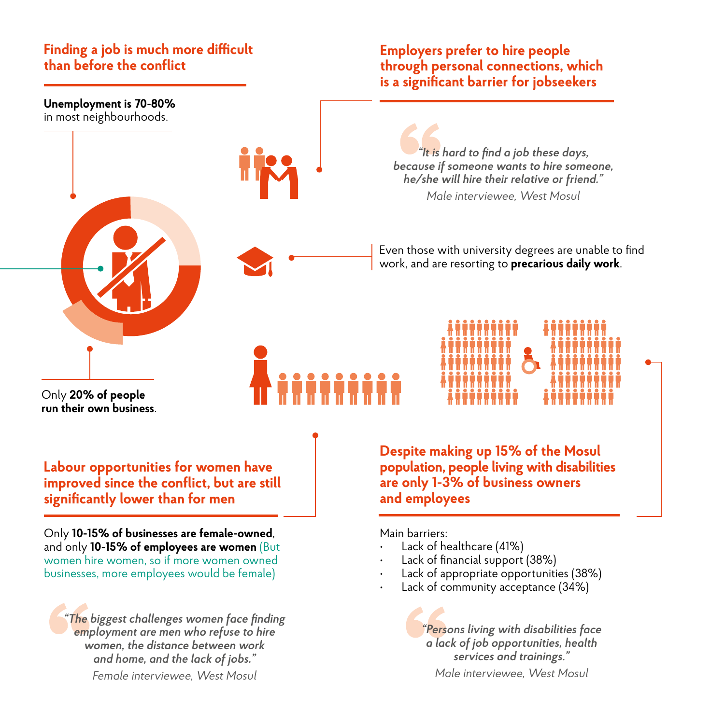#### **Finding a job is much more difficult than before the conflict**

#### **Employers prefer to hire people through personal connections, which is a significant barrier for jobseekers**

**Unemployment is 70-80%** in most neighbourhoods.

*"It is hard to find a job these days, because if someone wants to hire someone, he/she will hire their relative or friend." Male interviewee, West Mosul*

Even those with university degrees are unable to find work, and are resorting to **precarious daily work**.



Only **20% of people run their own business**.

**Labour opportunities for women have improved since the conflict, but are still significantly lower than for men**

Only **10-15% of businesses are female-owned**, and only **10-15% of employees are women** (But women hire women, so if more women owned businesses, more employees would be female)

*"The biggest challenges women face finding employment are men who refuse to hire women, the distance between work and home, and the lack of jobs." Female interviewee, West Mosul*

**Despite making up 15% of the Mosul population, people living with disabilities are only 1-3% of business owners and employees**

Main barriers:

- Lack of healthcare (41%)
- Lack of financial support (38%)
- Lack of appropriate opportunities (38%)
- Lack of community acceptance (34%)

*"Persons living with disabilities face a lack of job opportunities, health services and trainings." Male interviewee, West Mosul*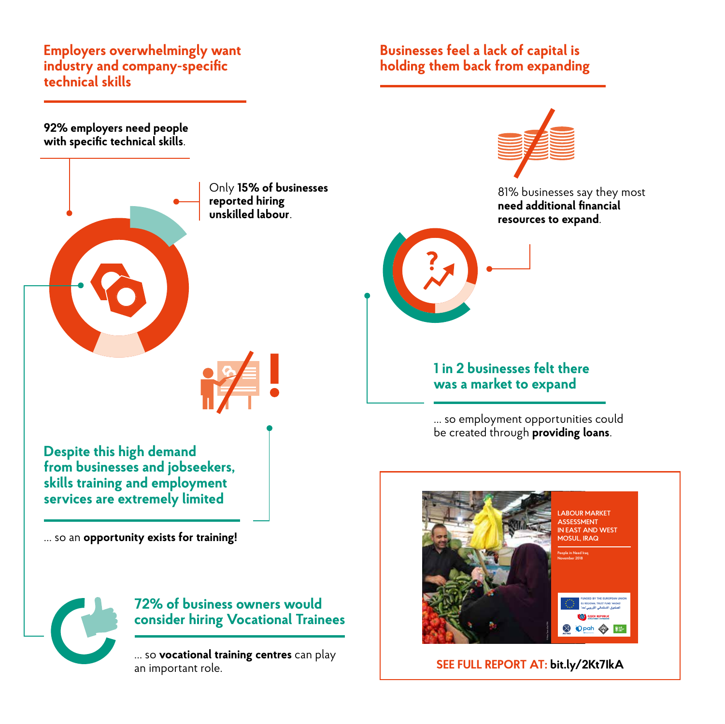#### **Employers overwhelmingly want industry and company-specific technical skills**

#### **Businesses feel a lack of capital is holding them back from expanding**

**92% employers need people with specific technical skills**.



Only **15% of businesses reported hiring unskilled labour**.



**Despite this high demand from businesses and jobseekers, skills training and employment services are extremely limited**

… so an **opportunity exists for training!**



#### **72% of business owners would consider hiring Vocational Trainees**

… so **vocational training centres** can play an important role.



81% businesses say they most **need additional financial resources to expand**.



#### **1 in 2 businesses felt there was a market to expand**

... so employment opportunities could be created through **providing loans**.



**SEE FULL REPORT AT: bit.ly/2Kt7IkA**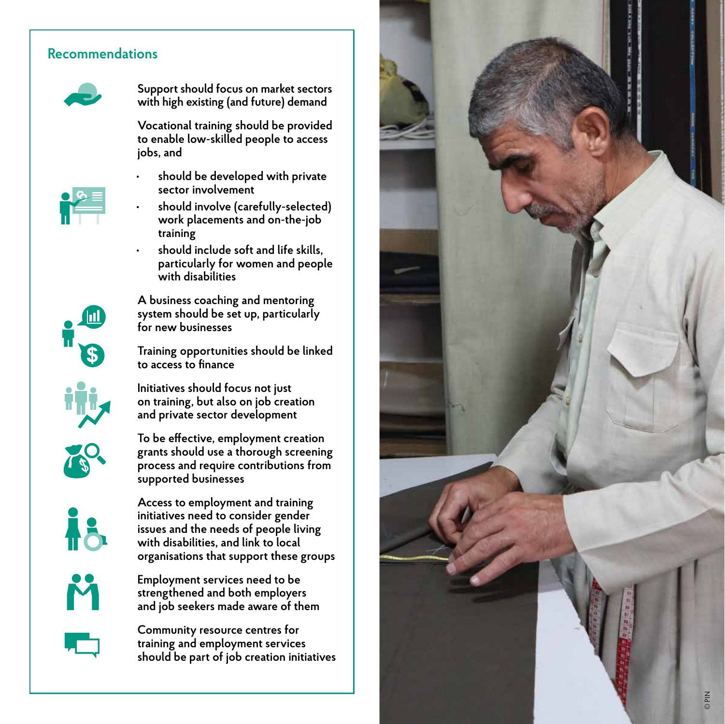#### **Recommendations**



**Support should focus on market sectors with high existing (and future) demand**

**Vocational training should be provided to enable low-skilled people to access** 

**jobs, and • should be developed with private sector involvement**



Ш

- **• should involve (carefully-selected) work placements and on-the-job training**
- **• should include soft and life skills, particularly for women and people with disabilities**

**A business coaching and mentoring system should be set up, particularly for new businesses**

**Training opportunities should be linked to access to finance**

**Initiatives should focus not just on training, but also on job creation and private sector development**



**To be effective, employment creation grants should use a thorough screening process and require contributions from supported businesses**



**Access to employment and training initiatives need to consider gender issues and the needs of people living with disabilities, and link to local organisations that support these groups**



**Employment services need to be strengthened and both employers and job seekers made aware of them**



**Community resource centres for training and employment services should be part of job creation initiatives**